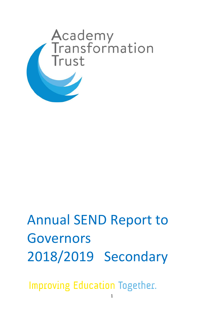

# Annual SEND Report to Governors 2018/2019 Secondary

**Improving Education Together.**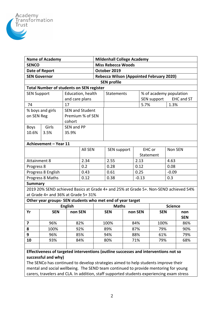

| <b>Name of Academy</b>                                                                                 |                |                        |                |  | <b>Mildenhall College Academy</b>               |         |             |                         |         |                   |  |  |
|--------------------------------------------------------------------------------------------------------|----------------|------------------------|----------------|--|-------------------------------------------------|---------|-------------|-------------------------|---------|-------------------|--|--|
| <b>SENCO</b>                                                                                           |                |                        |                |  | <b>Miss Rebecca Woods</b>                       |         |             |                         |         |                   |  |  |
| Date of Report                                                                                         |                |                        |                |  | October 2019                                    |         |             |                         |         |                   |  |  |
| <b>SEN Governor</b>                                                                                    |                |                        |                |  | <b>Rebecca Wilson (Appointed February 2020)</b> |         |             |                         |         |                   |  |  |
| <b>SEN profile</b>                                                                                     |                |                        |                |  |                                                 |         |             |                         |         |                   |  |  |
| <b>Total Number of students on SEN register</b>                                                        |                |                        |                |  |                                                 |         |             |                         |         |                   |  |  |
| <b>SEN Support</b>                                                                                     |                | Education, health      |                |  | <b>Statements</b>                               |         |             | % of academy population |         |                   |  |  |
|                                                                                                        |                | and care plans         |                |  |                                                 |         | SEN support |                         |         | <b>EHC and ST</b> |  |  |
| 17<br>74                                                                                               |                |                        |                |  |                                                 |         |             | 5.7%<br>1.3%            |         |                   |  |  |
| % boys and girls                                                                                       |                | <b>SEN and Student</b> |                |  |                                                 |         |             |                         |         |                   |  |  |
| on SEN Reg                                                                                             |                | Premium % of SEN       |                |  |                                                 |         |             |                         |         |                   |  |  |
|                                                                                                        |                | cohort                 |                |  |                                                 |         |             |                         |         |                   |  |  |
| <b>Boys</b>                                                                                            | Girls          | SEN and PP             |                |  |                                                 |         |             |                         |         |                   |  |  |
| 10.6%                                                                                                  | 3.5%           | 35.9%                  |                |  |                                                 |         |             |                         |         |                   |  |  |
|                                                                                                        |                |                        |                |  |                                                 |         |             |                         |         |                   |  |  |
| Achievement - Year 11                                                                                  |                |                        |                |  |                                                 |         |             |                         |         |                   |  |  |
|                                                                                                        |                |                        | <b>All SEN</b> |  | SEN support                                     |         | EHC or      |                         | Non SEN |                   |  |  |
|                                                                                                        |                |                        |                |  |                                                 |         | Statement   |                         |         |                   |  |  |
| <b>Attainment 8</b>                                                                                    |                |                        | 2.34           |  | 2.55                                            |         | 2.13        |                         | 4.63    |                   |  |  |
| Progress 8                                                                                             |                |                        | 0.2            |  | 0.28                                            |         | 0.12        |                         | 0.08    |                   |  |  |
| Progress 8 English                                                                                     |                |                        | 0.43           |  | 0.61                                            |         | 0.25        |                         | $-0.09$ |                   |  |  |
| Progress 8 Maths                                                                                       |                |                        | 0.12           |  | 0.38                                            | $-0.13$ |             | 0.3                     |         |                   |  |  |
| <b>Summary</b><br>2019 20% SEND achieved Basics at Grade 4+ and 25% at Grade 5+. Non-SEND achieved 54% |                |                        |                |  |                                                 |         |             |                         |         |                   |  |  |
|                                                                                                        |                |                        |                |  |                                                 |         |             |                         |         |                   |  |  |
| at Grade 4+ and 36% at Grade 5+ 31%                                                                    |                |                        |                |  |                                                 |         |             |                         |         |                   |  |  |
| Other year groups- SEN students who met end of year target                                             |                |                        |                |  |                                                 |         |             |                         |         |                   |  |  |
|                                                                                                        | <b>English</b> |                        |                |  | <b>Maths</b>                                    |         |             | <b>Science</b>          |         |                   |  |  |
| Yr                                                                                                     | <b>SEN</b>     | non SEN                |                |  | <b>SEN</b>                                      |         | non SEN     | <b>SEN</b>              |         | non               |  |  |
|                                                                                                        |                |                        |                |  |                                                 |         |             | 100%                    |         | <b>SEN</b>        |  |  |
| 7                                                                                                      | 96%            |                        | 82%            |  | 100%                                            |         | 84%         |                         |         | 86%               |  |  |
| 8                                                                                                      | 100%           |                        | 92%            |  | 89%                                             |         | 87%         | 79%                     |         | 90%               |  |  |
| 9                                                                                                      | 96%            |                        | 85%            |  | 94%                                             |         | 88%         | 61%                     |         | 79%               |  |  |
| 10                                                                                                     | 93%            |                        | 84%            |  | 80%                                             |         |             | 71%<br>79%              |         | 68%               |  |  |
|                                                                                                        |                |                        |                |  |                                                 |         |             |                         |         |                   |  |  |
| Effectiveness of targeted interventions (outline successes and interventions not so                    |                |                        |                |  |                                                 |         |             |                         |         |                   |  |  |

**successful and why)** The SENCo has continued to develop strategies aimed to help students improve their mental and social wellbeing. The SEND team continued to provide mentoring for young carers, travelers and CLA. In addition, staff supported students experiencing exam stress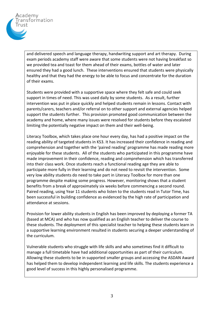

and delivered speech and language therapy, handwriting support and art therapy. During exam periods academy staff were aware that some students were not having breakfast so we provided tea and toast for them ahead of their exams, bottles of water and later ensured they had a good lunch. These interventions ensured that students were physically healthy and that they had the energy to be able to focus and concentrate for the duration of their exams.

Students were provided with a supportive space where they felt safe and could seek support in times of need. This was used daily by some students. As a result, further intervention was put in place quickly and helped students remain in lessons. Contact with parents/carers, teachers and/or referral on to other support and external agencies helped support the students further. This provision promoted good communication between the academy and home, where many issues were resolved for students before they escalated limiting the potentially negative impact on them and their well-being.

Literacy Toolbox, which takes place one hour every day, has had a positive impact on the reading ability of targeted students in KS3. It has increased their confidence in reading and comprehension and together with the 'paired reading' programme has made reading more enjoyable for these students. All of the students who participated in this programme have made improvement in their confidence, reading and comprehension which has transferred into their class work. Once students reach a functional reading age they are able to participate more fully in their learning and do not need to revisit the intervention. Some very low ability students do need to take part in Literacy Toolbox for more than one programme despite making some progress. However, monitoring shows that a student benefits from a break of approximately six weeks before commencing a second round. Paired reading, using Year 11 students who listen to the students read in Tutor Time, has been successful in building confidence as evidenced by the high rate of participation and attendance at sessions.

Provision for lower ability students in English has been improved by deploying a former TA (based at MCA) and who has now qualified as an English teacher to deliver the course to these students. The deployment of this specialist teacher to helping these students learn in a supportive learning environment resulted in students securing a deeper understanding of the curriculum.

Vulnerable students who struggle with life skills and who sometimes find it difficult to manage a full timetable have had additional opportunities as part of their curriculum. Allowing these students to be in supported smaller groups and accessing the ASDAN Award has helped them to develop independent learning and life skills. The students experience a good level of success in this highly personalised programme.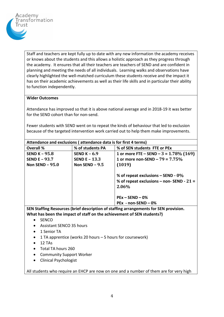

Staff and teachers are kept fully up to date with any new information the academy receives or knows about the students and this allows a holistic approach as they progress through the academy. It ensures that all their teachers are teachers of SEND and are confident in planning and meeting the needs of all individuals. Learning walks and observations have clearly highlighted the well-matched curriculum these students receive and the impact it has on their academic achievements as well as their life skills and in particular their ability to function independently.

## **Wider Outcomes**

Attendance has improved so that it is above national average and in 2018-19 it was better for the SEND cohort than for non-send.

Fewer students with SEND went on to repeat the kinds of behaviour that led to exclusion because of the targeted intervention work carried out to help them make improvements.

| Attendance and exclusions (attendance data is for first 4 terms) |                      |                                                                                             |  |  |  |  |  |  |
|------------------------------------------------------------------|----------------------|---------------------------------------------------------------------------------------------|--|--|--|--|--|--|
| <b>Overall %</b>                                                 | % of students PA     | % of SEN students FTE or PEx                                                                |  |  |  |  |  |  |
| <b>SEND K - 95.8</b>                                             | SEND $K - 6.9$       | 1 or more FTE – SEND – $3 = 1.78\%$ (169)                                                   |  |  |  |  |  |  |
| <b>SEND E - 93.7</b>                                             | <b>SEND E - 13.3</b> | 1 or more non-SEND – $79 = 7.75\%$                                                          |  |  |  |  |  |  |
| Non SEND $-95.0$                                                 | Non SEND $-9.5$      | (1019)                                                                                      |  |  |  |  |  |  |
|                                                                  |                      | % of repeat exclusions $-$ SEND - 0%<br>% of repeat exclusions – non-SEND - $21 =$<br>2.06% |  |  |  |  |  |  |
|                                                                  |                      | $PEx - SEND - 0%$                                                                           |  |  |  |  |  |  |
|                                                                  |                      | $PEx - non-SEND - 0%$                                                                       |  |  |  |  |  |  |

**SEN Staffing Resources (brief description of staffing arrangements for SEN provision. What has been the impact of staff on the achievement of SEN students?)**

- SENCO
- Assistant SENCO 35 hours
- 1 Senior TA
- 1 TA apprentice (works 20 hours 5 hours for coursework)
- $\bullet$  12 TAs
- Total TA hours 260
- Community Support Worker
- Clinical Psychologist

All students who require an EHCP are now on one and a number of them are for very high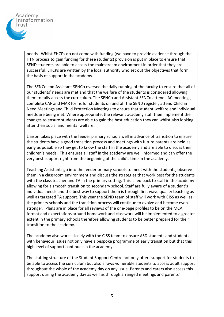

needs. Whilst EHCPs do not come with funding (we have to provide evidence through the HTN process to gain funding for these students) provision is put in place to ensure that SEND students are able to access the mainstream environment in order that they are successful. EHCPs are written by the local authority who set out the objectives that form the basis of support in the academy.

The SENCo and Assistant SENCo oversee the daily running of the faculty to ensure that all of our students' needs are met and that the welfare of the students is considered allowing them to fully access the curriculum. The SENCo and Assistant SENCo attend LAC meetings, complete CAF and MAR forms for students on and off the SEND register, attend Child in Need Meetings and Child Protection Meetings to ensure that student welfare and individual needs are being met. Where appropriate, the relevant academy staff then implement the changes to ensure students are able to gain the best education they can whilst also looking after their social and mental welfare.

Liaison takes place with the feeder primary schools well in advance of transition to ensure the students have a good transition process and meetings with future parents are held as early as possible so they get to know the staff in the academy and are able to discuss their children's needs. This ensures all staff in the academy are well informed and can offer the very best support right from the beginning of the child's time in the academy.

Teaching Assistants go into the feeder primary schools to meet with the students, observe them in a classroom environment and discuss the strategies that work best for the students with the class teacher and TA in the primary setting. This is fed back to staff in the academy allowing for a smooth transition to secondary school. Staff are fully aware of a student's individual needs and the best way to support them is through first wave quality teaching as well as targeted TA support. This year the SEND team of staff will work with CISS as well as the primary schools and the transition process will continue to evolve and become even stronger. Plans are in place for all reviews of the one-page profiles to be on the MCA format and expectations around homework and classwork will be implemented to a greater extent in the primary schools therefore allowing students to be better prepared for their transition to the academy.

The academy also works closely with the CISS team to ensure ASD students and students with behaviour issues not only have a bespoke programme of early transition but that this high level of support continues in the academy.

The staffing structure of the Student Support Centre not only offers support for students to be able to access the curriculum but also allows vulnerable students to access adult support throughout the whole of the academy day on any issue. Parents and carers also access this support during the academy day as well as through arranged meetings and parents'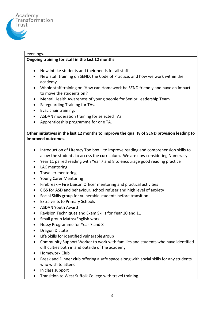

# evenings.

# **Ongoing training for staff in the last 12 months**

- New intake students and their needs for all staff.
- New staff training on SEND, the Code of Practice, and how we work within the academy.
- Whole staff training on 'How can Homework be SEND friendly and have an impact to move the students on?'
- Mental Health Awareness of young people for Senior Leadership Team
- Safeguarding Training for TAs.
- Evac chair training.
- ASDAN moderation training for selected TAs.
- Apprenticeship programme for one TA.

**Other initiatives in the last 12 months to improve the quality of SEND provision leading to improved outcomes.**

- Introduction of Literacy Toolbox to improve reading and comprehension skills to allow the students to access the curriculum. We are now considering Numeracy.
- Year 11 paired reading with Year 7 and 8 to encourage good reading practice
- LAC mentoring
- Traveller mentoring
- Young Carer Mentoring
- Firebreak Fire Liaison Officer mentoring and practical activities
- CISS for ASD and behaviour, school refuser and high level of anxiety
- Social Skills group for vulnerable students before transition
- Extra visits to Primary Schools
- ASDAN Youth Award
- Revision Techniques and Exam Skills for Year 10 and 11
- Small group Maths/English work
- Nessy Programme for Year 7 and 8
- Dragon Dictate
- Life Skills for identified vulnerable group
- Community Support Worker to work with families and students who have identified difficulties both in and outside of the academy
- Homework Club
- Break and Dinner club offering a safe space along with social skills for any students who wish to attend
- In class support
- Transition to West Suffolk College with travel training